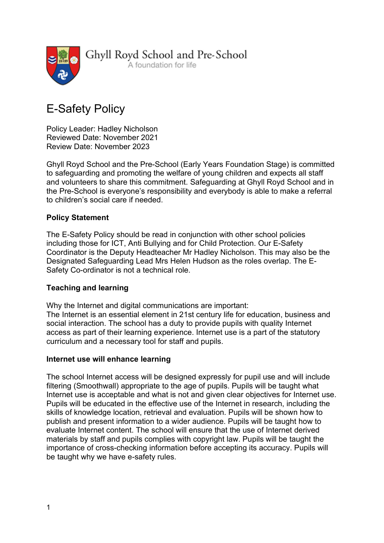

Ghyll Royd School and Pre-School

A foundation for life

# E-Safety Policy

Policy Leader: Hadley Nicholson Reviewed Date: November 2021 Review Date: November 2023

Ghyll Royd School and the Pre-School (Early Years Foundation Stage) is committed to safeguarding and promoting the welfare of young children and expects all staff and volunteers to share this commitment. Safeguarding at Ghyll Royd School and in the Pre-School is everyone's responsibility and everybody is able to make a referral to children's social care if needed.

# Policy Statement

The E-Safety Policy should be read in conjunction with other school policies including those for ICT, Anti Bullying and for Child Protection. Our E-Safety Coordinator is the Deputy Headteacher Mr Hadley Nicholson. This may also be the Designated Safeguarding Lead Mrs Helen Hudson as the roles overlap. The E-Safety Co-ordinator is not a technical role.

# Teaching and learning

Why the Internet and digital communications are important: The Internet is an essential element in 21st century life for education, business and social interaction. The school has a duty to provide pupils with quality Internet access as part of their learning experience. Internet use is a part of the statutory curriculum and a necessary tool for staff and pupils.

# Internet use will enhance learning

The school Internet access will be designed expressly for pupil use and will include filtering (Smoothwall) appropriate to the age of pupils. Pupils will be taught what Internet use is acceptable and what is not and given clear objectives for Internet use. Pupils will be educated in the effective use of the Internet in research, including the skills of knowledge location, retrieval and evaluation. Pupils will be shown how to publish and present information to a wider audience. Pupils will be taught how to evaluate Internet content. The school will ensure that the use of Internet derived materials by staff and pupils complies with copyright law. Pupils will be taught the importance of cross-checking information before accepting its accuracy. Pupils will be taught why we have e-safety rules.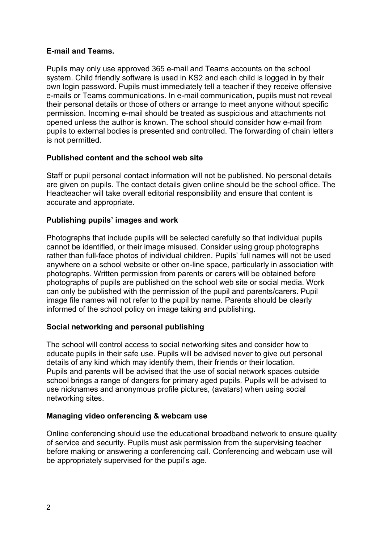## E-mail and Teams.

Pupils may only use approved 365 e-mail and Teams accounts on the school system. Child friendly software is used in KS2 and each child is logged in by their own login password. Pupils must immediately tell a teacher if they receive offensive e-mails or Teams communications. In e-mail communication, pupils must not reveal their personal details or those of others or arrange to meet anyone without specific permission. Incoming e-mail should be treated as suspicious and attachments not opened unless the author is known. The school should consider how e-mail from pupils to external bodies is presented and controlled. The forwarding of chain letters is not permitted.

## Published content and the school web site

Staff or pupil personal contact information will not be published. No personal details are given on pupils. The contact details given online should be the school office. The Headteacher will take overall editorial responsibility and ensure that content is accurate and appropriate.

## Publishing pupils' images and work

Photographs that include pupils will be selected carefully so that individual pupils cannot be identified, or their image misused. Consider using group photographs rather than full-face photos of individual children. Pupils' full names will not be used anywhere on a school website or other on-line space, particularly in association with photographs. Written permission from parents or carers will be obtained before photographs of pupils are published on the school web site or social media. Work can only be published with the permission of the pupil and parents/carers. Pupil image file names will not refer to the pupil by name. Parents should be clearly informed of the school policy on image taking and publishing.

# Social networking and personal publishing

The school will control access to social networking sites and consider how to educate pupils in their safe use. Pupils will be advised never to give out personal details of any kind which may identify them, their friends or their location. Pupils and parents will be advised that the use of social network spaces outside school brings a range of dangers for primary aged pupils. Pupils will be advised to use nicknames and anonymous profile pictures, (avatars) when using social networking sites.

#### Managing video onferencing & webcam use

Online conferencing should use the educational broadband network to ensure quality of service and security. Pupils must ask permission from the supervising teacher before making or answering a conferencing call. Conferencing and webcam use will be appropriately supervised for the pupil's age.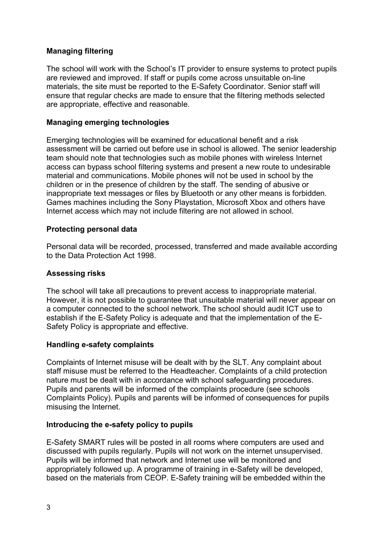# Managing filtering

The school will work with the School's IT provider to ensure systems to protect pupils are reviewed and improved. If staff or pupils come across unsuitable on-line materials, the site must be reported to the E-Safety Coordinator. Senior staff will ensure that regular checks are made to ensure that the filtering methods selected are appropriate, effective and reasonable.

## Managing emerging technologies

Emerging technologies will be examined for educational benefit and a risk assessment will be carried out before use in school is allowed. The senior leadership team should note that technologies such as mobile phones with wireless Internet access can bypass school filtering systems and present a new route to undesirable material and communications. Mobile phones will not be used in school by the children or in the presence of children by the staff. The sending of abusive or inappropriate text messages or files by Bluetooth or any other means is forbidden. Games machines including the Sony Playstation, Microsoft Xbox and others have Internet access which may not include filtering are not allowed in school.

## Protecting personal data

Personal data will be recorded, processed, transferred and made available according to the Data Protection Act 1998.

#### Assessing risks

The school will take all precautions to prevent access to inappropriate material. However, it is not possible to guarantee that unsuitable material will never appear on a computer connected to the school network. The school should audit ICT use to establish if the E-Safety Policy is adequate and that the implementation of the E-Safety Policy is appropriate and effective.

#### Handling e-safety complaints

Complaints of Internet misuse will be dealt with by the SLT. Any complaint about staff misuse must be referred to the Headteacher. Complaints of a child protection nature must be dealt with in accordance with school safeguarding procedures. Pupils and parents will be informed of the complaints procedure (see schools Complaints Policy). Pupils and parents will be informed of consequences for pupils misusing the Internet.

# Introducing the e-safety policy to pupils

E-Safety SMART rules will be posted in all rooms where computers are used and discussed with pupils regularly. Pupils will not work on the internet unsupervised. Pupils will be informed that network and Internet use will be monitored and appropriately followed up. A programme of training in e-Safety will be developed, based on the materials from CEOP. E-Safety training will be embedded within the